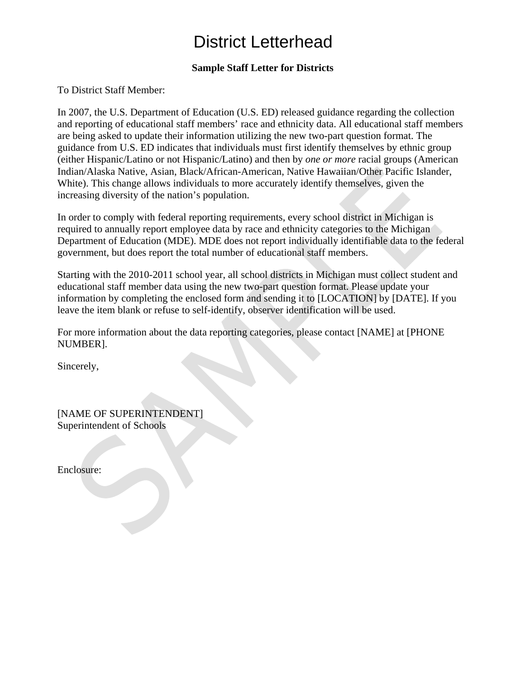## District Letterhead

## **Sample Staff Letter for Districts**

To District Staff Member:

In 2007, the U.S. Department of Education (U.S. ED) released guidance regarding the collection and reporting of educational staff members' race and ethnicity data. All educational staff members are being asked to update their information utilizing the new two-part question format. The guidance from U.S. ED indicates that individuals must first identify themselves by ethnic group (either Hispanic/Latino or not Hispanic/Latino) and then by *one or more* racial groups (American Indian/Alaska Native, Asian, Black/African-American, Native Hawaiian/Other Pacific Islander, White). This change allows individuals to more accurately identify themselves, given the increasing diversity of the nation's population.

In order to comply with federal reporting requirements, every school district in Michigan is required to annually report employee data by race and ethnicity categories to the Michigan Department of Education (MDE). MDE does not report individually identifiable data to the federal government, but does report the total number of educational staff members.

Starting with the 2010-2011 school year, all school districts in Michigan must collect student and educational staff member data using the new two-part question format. Please update your information by completing the enclosed form and sending it to [LOCATION] by [DATE]. If you leave the item blank or refuse to self-identify, observer identification will be used.

For more information about the data reporting categories, please contact [NAME] at [PHONE NUMBER].

Sincerely,

[NAME OF SUPERINTENDENT] Superintendent of Schools

Enclosure: